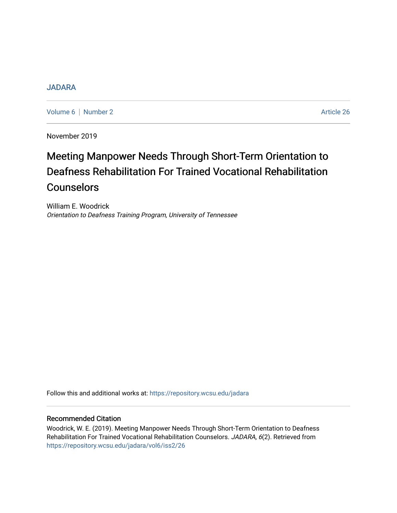# [JADARA](https://repository.wcsu.edu/jadara)

[Volume 6](https://repository.wcsu.edu/jadara/vol6) | [Number 2](https://repository.wcsu.edu/jadara/vol6/iss2) Article 26

November 2019

# Meeting Manpower Needs Through Short-Term Orientation to Deafness Rehabilitation For Trained Vocational Rehabilitation Counselors

William E. Woodrick Orientation to Deafness Training Program, University of Tennessee

Follow this and additional works at: [https://repository.wcsu.edu/jadara](https://repository.wcsu.edu/jadara?utm_source=repository.wcsu.edu%2Fjadara%2Fvol6%2Fiss2%2F26&utm_medium=PDF&utm_campaign=PDFCoverPages)

# Recommended Citation

Woodrick, W. E. (2019). Meeting Manpower Needs Through Short-Term Orientation to Deafness Rehabilitation For Trained Vocational Rehabilitation Counselors. JADARA, 6(2). Retrieved from [https://repository.wcsu.edu/jadara/vol6/iss2/26](https://repository.wcsu.edu/jadara/vol6/iss2/26?utm_source=repository.wcsu.edu%2Fjadara%2Fvol6%2Fiss2%2F26&utm_medium=PDF&utm_campaign=PDFCoverPages)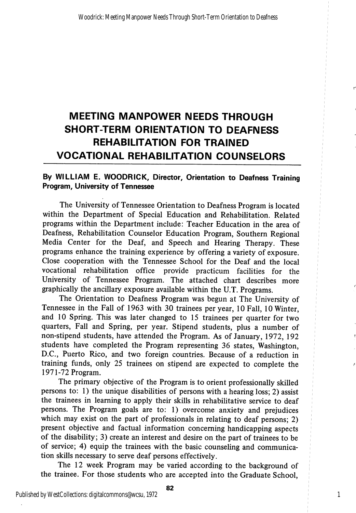# MEETING MANPOWER NEEDS THROUGH SHORT-TERM ORIENTATION TO DEAFNESS REHABILITATION FOR TRAINED VOCATIONAL REHABILITATION COUNSELORS

## By WILLIAM E. WOODRICK, Director, Orientation to Deafness Training Program, University of Tennessee

The University of Tennessee Orientation to Deafness Program is located within the Department of Special Education and Rehabilitation. Related programs within the Department include: Teacher Education in the area of Deafness, Rehabilitation Counselor Education Program, Southern Regional Media Center for the Deaf, and Speech and Hearing Therapy. These programs enhance the training experience by offering a variety of exposure. Close cooperation with the Tennessee School for the Deaf and the local vocational rehabihtation office provide practicum facilities for the University of Tennessee Program. The attached chart describes more graphically the ancillary exposure available within the U.T. Programs.

The Orientation to Deafness Program was begun at The University of Tennessee in the Fall of 1963 with 30 trainees per year, 10 Fall, 10 Winter, and 10 Spring. This was later changed to 15 trainees per quarter for two quarters. Fall and Spring, per year. Stipend students, plus a number of non-stipend students, have attended the Program. As of January, 1972, 192 students have completed the Program representing 36 states, Washington, D.C., Puerto Rico, and two foreign countries. Because of a reduction in training funds, only 25 trainees on stipend are expected to complete the 1971-72 Program.

The primary objective of the Program is to orient professionally skilled persons to: 1) the unique disabilities of persons with a hearing loss; 2) assist the trainees in learning to apply their skills in rehabilitative service to deaf persons. The Program goals are to: 1) overcome anxiety and prejudices which may exist on the part of professionals in relating to deaf persons; 2) present objective and factual information concerning handicapping aspects of the disability; 3) create an interest and desire on the part of trainees to be of service; 4) equip the trainees with the basic counseling and communica tion skills necessary to serve deaf persons effectively.

The 12 week Program may be varied according to the background of the trainee. For those students who are accepted into the Graduate School,

Published by WestCollections: digitalcommons@wcsu, 1972

82

1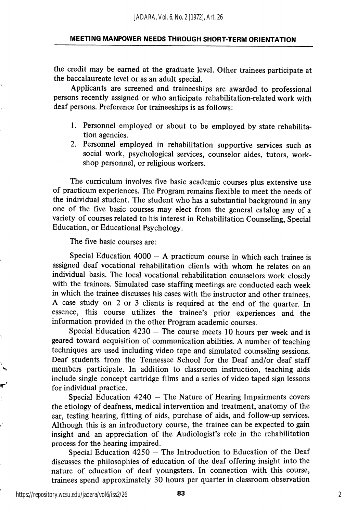the credit may be earned at the graduate level. Other trainees participate at the baccalaureate level or as an adult special.

Applicants are screened and traineeships are awarded to professional persons recently assigned or who anticipate rehabilitation-related work with deaf persons. Preference for traineeships is as follows:

- 1. Personnel employed or about to be employed by state rehabilita tion agencies.
- 2. Personnel employed in rehabilitation supportive services such as social work, psychological services, counselor aides, tutors, work shop personnel, or religious workers.

The curriculum involves five basic academic courses plus extensive use of practicum experiences. The Program remains flexible to meet the needs of the individual student. The student who has a substantial background in any one of the five basic courses may elect from the general catalog any of a variety of courses related to his interest in Rehabilitation Counseling, Special Education, or Educational Psychology.

The five basic courses are:

Special Education 4000 — A practicum course in which each trainee is assigned deaf vocational rehabilitation clients with whom he relates on an individual basis. The local vocational rehabilitation counselors work closely with the trainees. Simulated case staffing meetings are conducted each week in which the trainee discusses his cases with the instructor and other trainees. A case study on 2 or 3 clients is required at the end of the quarter. In essence, this course utilizes the trainee's prior experiences and the information provided in the other Program academic courses.

Special Education 4230 — The course meets 10 hours per week and is geared toward acquisition of communication abilities. A number of teaching techniques are used including video tape and simulated counseling sessions. Deaf students from the Tennessee School for the Deaf and/or deaf staff members participate. In addition to classroom instruction, teaching aids include single concept cartridge films and a series of video taped sign lessons for individual practice.

Special Education 4240 — The Nature of Hearing Impairments covers the etiology of deafness, medical intervention and treatment, anatomy of the ear, testing hearing, fitting of aids, purchase of aids, and follow-up services. Although this is an introductory course, the trainee can be expected to gain insight and an appreciation of the Audiologist's role in the rehabilitation process for the hearing impaired.

Special Education 4250 — The Introduction to Education of the Deaf discusses the philosophies of education of the deaf offering insight into the nature of education of deaf youngsters. In connection with this course, trainees spend approximately 30 hours per quarter in classroom observation

https://repository.wcsu.edu/jadara/vol6/iss2/26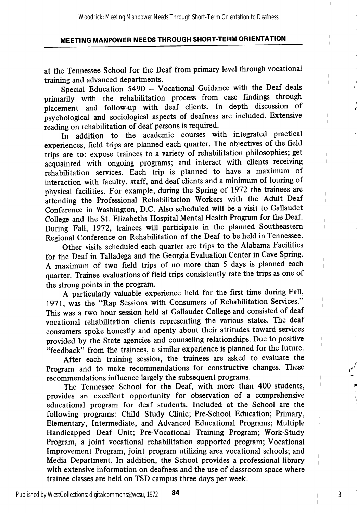at the Tennessee School for the Deaf from primary level through vocational training and advanced departments.

Special Education 5490 - Vocational Guidance with the Deaf deals primarily with the rehabilitation process from case findings through placement and follow-up with deaf clients. In depth discussion of psychological and sociological aspects of deafness are included. Extensive reading on rehabilitation of deaf persons is required.

In addition to the academic courses with integrated practical experiences, field trips are planned each quarter. The objectives of the field trips are to: expose trainees to a variety of rehabilitation philosophies; get acquainted with ongoing programs; and interact with clients receiving rehabilitation services. Each trip is planned to have a maximum of interaction with faculty, staff, and deaf clients and a minimum of touring of physical facilities. For example, during the Spring of 1972 the trainees are attending the Professional Rehabilitation Workers with the Adult Deaf Conference in Washington, D.C. Also scheduled will be a visit to Gallaudet College and the St. Elizabeths Hospital Mental Health Program for the Deaf. During Fall, 1972, trainees will participate in the planned Southeastern Regional Conference on Rehabilitation of the Deaf to be held in Tennessee.

Other visits scheduled each quarter are trips to the Alabama Facilities for the Deaf in Talladega and the Georgia Evaluation Center in Cave Spring. A maximum of two field trips of no more than 5 days is planned each quarter. Trainee evaluations of field trips consistently rate the trips as one of the strong points in the program.

A particularly valuable experience held for the first time during Fall, 1971, was the "Rap Sessions with Consumers of Rehabilitation Services." This was a two hour session held at Gallaudet College and consisted of deaf vocational rehabilitation clients representing the various states. The deaf consumers spoke honestly and openly about their attitudes toward services provided by the State agencies and counseling relationships. Due to positive "feedback" from the trainees, a similar experience is planned for the future.

After each training session, the trainees are asked to evaluate the Program and to make recommendations for constructive changes. These recommendations influence largely the subsequent programs.

The Tennessee School for the Deaf, with more than 400 students, provides an excellent opportunity for observation of a comprehensive educational program for deaf students. Included at the School are the following programs: Child Study Clinic; Pre-School Education; Primary, Elementary, Intermediate, and Advanced Educational Programs; Multiple Handicapped Deaf Unit; Pre-Vocational Training Program; Work-Study Program, a joint vocational rehabilitation supported program; Vocational Improvement Program, joint program utihzing area vocational schools; and Media Department. In addition, the School provides a professional library with extensive information on deafness and the use of classroom space where trainee classes are held on TSD campus three days per week.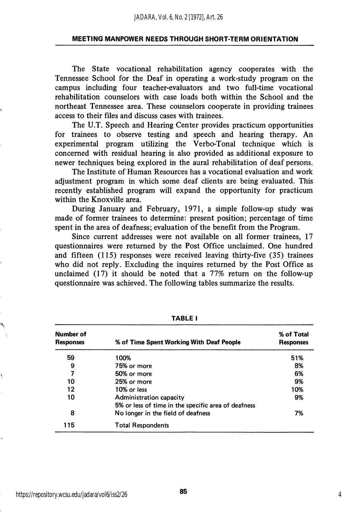The State vocational rehabilitation agency cooperates with the Tennessee School for the Deaf in operating a work-study program on the campus including four teacher-evaluators and two full-time vocational rehabilitation counselors with case loads both within the School and the northeast Tennessee area. These counselors cooperate in providing trainees access to their files and discuss cases with trainees.

The U.T. Speech and Hearing Center provides practicum opportunities for trainees to observe testing and speech and hearing therapy. An experimental program utilizing the Verbo-Tonal technique which is concerned with residual hearing is also provided as additional exposure to newer techniques being explored in the aural rehabilitation of deaf persons.

The Institute of Human Resources has a vocational evaluation and work adjustment program in which some deaf clients are being evaluated. This recently established program will expand the opportunity for practicum within the Knoxville area.

During January and February, 1971, a simple follow-up study was made of former trainees to determine: present position; percentage of time spent in the area of deafness; evaluation of the benefit from the Program.

Since current addresses were not available on all former trainees, 17 questionnaires were returned by the Post Office unclaimed. One hundred and fifteen (115) responses were received leaving thirty-five (35) trainees who did not reply. Excluding the inquires returned by the Post Office as unclaimed (17) it should be noted that a 77% return on the follow-up questionnaire was achieved. The following tables summarize the results.

| Number of<br><b>Responses</b> | % of Time Spent Working With Deaf People                                       | % of Total<br><b>Responses</b> |  |
|-------------------------------|--------------------------------------------------------------------------------|--------------------------------|--|
| 59                            | 100%                                                                           | 51%                            |  |
| 9                             | 75% or more                                                                    | 8%                             |  |
| 7                             | 50% or more                                                                    | 6%                             |  |
| 10                            | 25% or more                                                                    | 9%                             |  |
| 12                            | 10% or less                                                                    | 10%                            |  |
| 10                            | Administration capacity<br>5% or less of time in the specific area of deafness | 9%                             |  |
| 8                             | No longer in the field of deafness                                             | 7%                             |  |
| 115                           | <b>Total Respondents</b>                                                       |                                |  |

TABLE I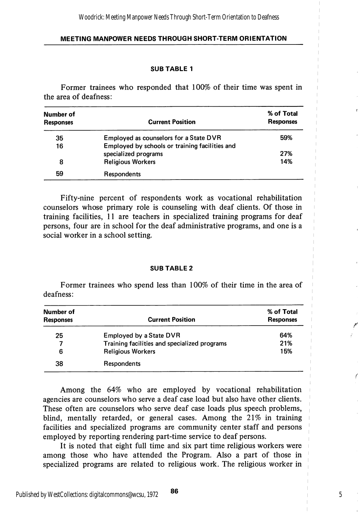#### SUB TABLE 1

Former trainees who responded that 100% of their time was spent in the area of deafness:

| Number of<br><b>Responses</b> | <b>Current Position</b>                        | % of Total<br><b>Responses</b> |
|-------------------------------|------------------------------------------------|--------------------------------|
| 35                            | Employed as counselors for a State DVR         | 59%                            |
| 16                            | Employed by schools or training facilities and |                                |
|                               | specialized programs                           | 27%                            |
| 8                             | <b>Religious Workers</b>                       | 14%                            |
| 59                            | Respondents                                    |                                |

Fifty-nine percent of respondents work as vocational rehabilitation counselors whose primary role is counseling with deaf clients. Of those in training facilities, 11 are teachers in specialized training programs for deaf persons, four are in school for the deaf administrative programs, and one is a social worker in a school setting.

#### SUB TABLE 2

Former trainees who spend less than 100% of their time in the area of deafness;

| Number of<br><b>Responses</b> | <b>Current Position</b>                      | % of Total<br><b>Responses</b> |
|-------------------------------|----------------------------------------------|--------------------------------|
| 25                            | <b>Employed by a State DVR</b>               | 64%                            |
| 7                             | Training facilities and specialized programs | 21%                            |
| 6                             | <b>Religious Workers</b>                     | 15%                            |
| 38                            | Respondents                                  |                                |

Among the 64% who are employed by vocational rehabilitation agencies are counselors who serve a deaf case load but also have other clients. These often are counselors who serve deaf case loads plus speech problems, blind, mentally retarded, or general cases. Among the 21% in training facilities and specialized programs are community center staff and persons employed by reporting rendering part-time service to deaf persons.

It is noted that eight full time and six part time religious workers were among those who have attended the Program. Also a part of those in specialized programs are related to religious work. The religious worker in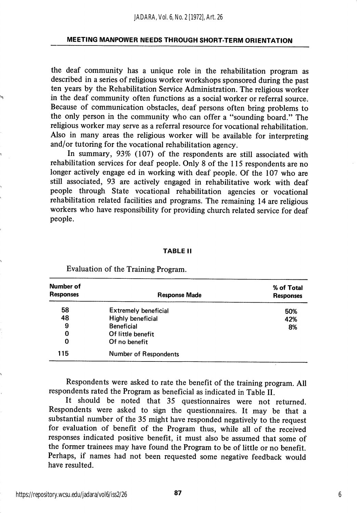the deaf community has a unique role in the rehabilitation program as described in a series of religious worker workshops sponsored during the past ten years by the Rehabilitation Service Administration. The religious worker in the deaf community often functions as a social worker or referral source. Because of communication obstacles, deaf persons often bring problems to the only person in the community who can offer a "sounding board." The religious worker may serve as a referral resource for vocational rehabilitation. Also in many areas the religious worker will be available for interpreting and/or tutoring for the vocational rehabilitation agency.

In summary, 93% (107) of the respondents are still associated with rehabilitation services for deaf people. Only 8 of the 115 respondents are no longer actively engage ed in working with deaf people. Of the 107 who are still associated, 93 are actively engaged in rehabilitative work with deaf people through State vocational rehabilitation agencies or vocational rehabilitation related facilities and programs. The remaining 14 are religious workers who have responsibility for providing church related service for deaf people.

#### TABLE II

| Number of<br><b>Responses</b> | <b>Response Made</b>         | % of Total<br><b>Responses</b> |
|-------------------------------|------------------------------|--------------------------------|
| 58                            | <b>Extremely beneficial</b>  | 50%                            |
| 48                            | <b>Highly beneficial</b>     | 42%                            |
| 9                             | <b>Beneficial</b>            | 8%                             |
| 0                             | Of little benefit            |                                |
| 0                             | Of no benefit                |                                |
| 115                           | <b>Number of Respondents</b> |                                |

Evaluation of the Training Program.

Respondents were asked to rate the benefit of the training program. All respondents rated the Program as beneficial as indicated in Table II.

It should be noted that 35 questionnaires were not returned. Respondents were asked to sign the questionnaires. It may be that a substantial number of the 35 might have responded negatively to the request for evaluation of benefit of the Program thus, while all of the received responses indicated positive benefit, it must also be assumed that some of the former trainees may have found the Program to be of little or no benefit. Perhaps, if names had not been requested some negative feedback would have resulted.

87 6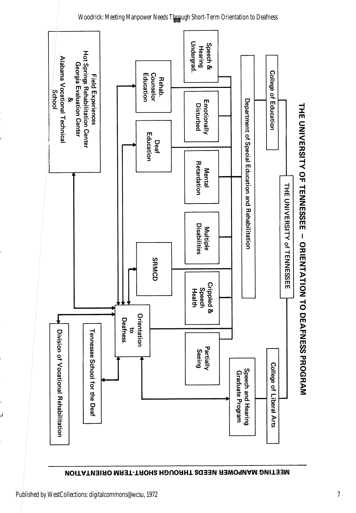

# NEETING MAHTAOHIS NEEDS THROUGH SHOHLTERM ORIENTING

لمنا